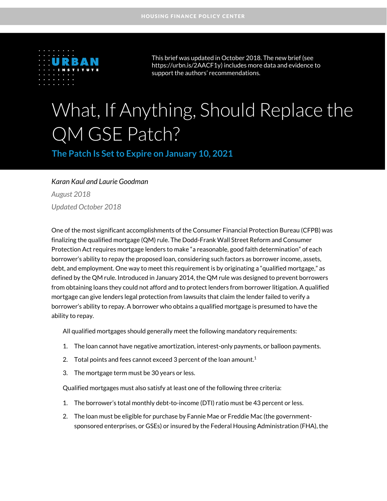

This brief was updated in October 2018. The new brief (see [https://urbn.is/2AACF1y\)](https://urbn.is/2AACF1y) includes more data and evidence to support the authors' recommendations.

# What, If Anything, Should Replace the QM GSE Patch?

**The Patch Is Set to Expire on January 10, 2021** 

#### *Karan Kaul and Laurie Goodman*

*August 2018 Updated October 2018*

One of the most significant accomplishments of the Consumer Financial Protection Bureau (CFPB) was finalizing the qualified mortgage (QM) rule. The Dodd-Frank Wall Street Reform and Consumer Protection Act requires mortgage lenders to make "a reasonable, good faith determination" of each borrower's ability to repay the proposed loan, considering such factors as borrower income, assets, debt, and employment. One way to meet this requirement is by originating a "qualified mortgage," as defined by the QM rule. Introduced in January 2014, the QM rule was designed to prevent borrowers from obtaining loans they could not afford and to protect lenders from borrower litigation. A qualified mortgage can give lenders legal protection from lawsuits that claim the lender failed to verify a borrower's ability to repay. A borrower who obtains a qualified mortgage is presumed to have the ability to repay.

All qualified mortgages should generally meet the following mandatory requirements:

- 1. The loan cannot have negative amortization, interest-only payments, or balloon payments.
- 2. Total points and fees cannot exceed 3 percent of the loan amount.<sup>1</sup>
- 3. The mortgage term must be 30 years or less.

Qualified mortgages must also satisfy at least one of the following three criteria:

- 1. The borrower's total monthly debt-to-income (DTI) ratio must be 43 percent or less.
- 2. The loan must be eligible for purchase by Fannie Mae or Freddie Mac (the governmentsponsored enterprises, or GSEs) or insured by the Federal Housing Administration (FHA), the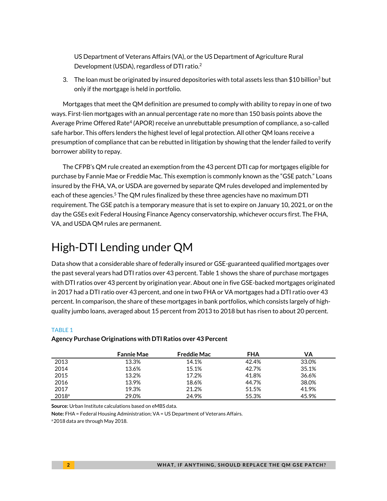US Department of Veterans Affairs (VA), or the US Department of Agriculture Rural Development (USDA), regardless of DTI ratio.<sup>2</sup>

3. The loan must be originated by insured depositories with total assets less than \$10 billion<sup>3</sup> but only if the mortgage is held in portfolio.

Mortgages that meet the QM definition are presumed to comply with ability to repay in one of two ways. First-lien mortgages with an annual percentage rate no more than 150 basis points above the Average Prime Offered Rate<sup>4</sup> (APOR) receive an unrebuttable presumption of compliance, a so-called safe harbor. This offers lenders the highest level of legal protection. All other QM loans receive a presumption of compliance that can be rebutted in litigation by showing that the lender failed to verify borrower ability to repay.

The CFPB's QM rule created an exemption from the 43 percent DTI cap for mortgages eligible for purchase by Fannie Mae or Freddie Mac. This exemption is commonly known as the "GSE patch." Loans insured by the FHA, VA, or USDA are governed by separate QM rules developed and implemented by each of these agencies. <sup>5</sup> The QM rules finalized by these three agencies have no maximum DTI requirement. The GSE patch is a temporary measure that is set to expire on January 10, 2021, or on the day the GSEs exit Federal Housing Finance Agency conservatorship, whichever occurs first. The FHA, VA, and USDA QM rules are permanent.

# High-DTI Lending under QM

Data show that a considerable share of federally insured or GSE-guaranteed qualified mortgages over the past several years had DTI ratios over 43 percent. Table 1 shows the share of purchase mortgages with DTI ratios over 43 percent by origination year. About one in five GSE-backed mortgages originated in 2017 had a DTI ratio over 43 percent, and one in two FHA or VA mortgages had a DTI ratio over 43 percent. In comparison, the share of these mortgages in bank portfolios, which consists largely of highquality jumbo loans, averaged about 15 percent from 2013 to 2018 but has risen to about 20 percent.

|                   | <b>Fannie Mae</b> | <b>Freddie Mac</b> | <b>FHA</b> | VA    |
|-------------------|-------------------|--------------------|------------|-------|
| 2013              | 13.3%             | 14.1%              | 42.4%      | 33.0% |
| 2014              | 13.6%             | 15.1%              | 42.7%      | 35.1% |
| 2015              | 13.2%             | 17.2%              | 41.8%      | 36.6% |
| 2016              | 13.9%             | 18.6%              | 44.7%      | 38.0% |
| 2017              | 19.3%             | 21.2%              | 51.5%      | 41.9% |
| 2018 <sup>a</sup> | 29.0%             | 24.9%              | 55.3%      | 45.9% |

#### **Agency Purchase Originations with DTI Ratios over 43 Percent**

**Source:** Urban Institute calculations based on eMBS data.

**Note:** FHA = Federal Housing Administration; VA = US Department of Veterans Affairs.

a 2018 data are through May 2018.

TABLE 1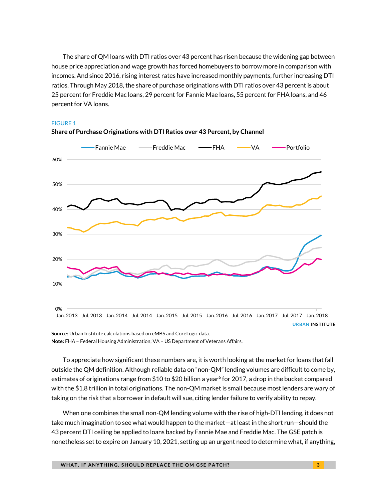The share of QM loans with DTI ratios over 43 percent has risen because the widening gap between house price appreciation and wage growth has forced homebuyers to borrow more in comparison with incomes. And since 2016, rising interest rates have increased monthly payments, further increasing DTI ratios. Through May 2018, the share of purchase originations with DTI ratios over 43 percent is about 25 percent for Freddie Mac loans, 29 percent for Fannie Mae loans, 55 percent for FHA loans, and 46 percent for VA loans.

**Share of Purchase Originations with DTI Ratios over 43 Percent, by Channel**



#### FIGURE 1

**Source:** Urban Institute calculations based on eMBS and CoreLogic data. **Note:** FHA = Federal Housing Administration; VA = US Department of Veterans Affairs.

To appreciate how significant these numbers are, it is worth looking at the market for loans that fall outside the QM definition. Although reliable data on "non-QM" lending volumes are difficult to come by, estimates of originations range from  $$10$  to  $$20$  billion a year $^6$  for 2017, a drop in the bucket compared with the \$1.8 trillion in total originations. The non-QM market is small because most lenders are wary of taking on the risk that a borrower in default will sue, citing lender failure to verify ability to repay.

When one combines the small non-QM lending volume with the rise of high-DTI lending, it does not take much imagination to see what would happen to the market—at least in the short run—should the 43 percent DTI ceiling be applied to loans backed by Fannie Mae and Freddie Mac. The GSE patch is nonetheless set to expire on January 10, 2021, setting up an urgent need to determine what, if anything,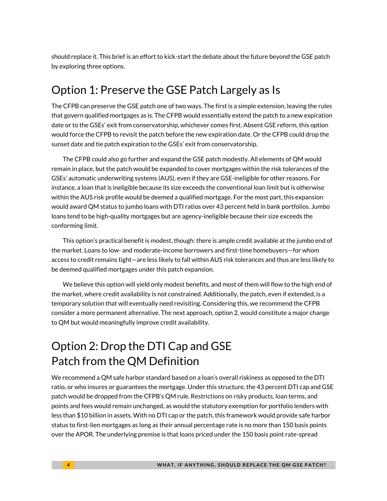should replace it. This brief is an effort to kick-start the debate about the future beyond the GSE patch by exploring three options.

## Option 1: Preserve the GSE Patch Largely as Is

The CFPB can preserve the GSE patch one of two ways. The first is a simple extension, leaving the rules that govern qualified mortgages as is. The CFPB would essentially extend the patch to a new expiration date or to the GSEs' exit from conservatorship, whichever comes first. Absent GSE reform, this option would force the CFPB to revisit the patch before the new expiration date. Or the CFPB could drop the sunset date and tie patch expiration to the GSEs' exit from conservatorship.

The CFPB could also go further and expand the GSE patch modestly. All elements of QM would remain in place, but the patch would be expanded to cover mortgages within the risk tolerances of the GSEs' automatic underwriting systems (AUS), even if they are GSE-ineligible for other reasons. For instance, a loan that is ineligible because its size exceeds the conventional loan limit but is otherwise within the AUS risk profile would be deemed a qualified mortgage. For the most part, this expansion would award QM status to jumbo loans with DTI ratios over 43 percent held in bank portfolios. Jumbo loans tend to be high-quality mortgages but are agency-ineligible because their size exceeds the conforming limit.

This option's practical benefit is modest, though: there is ample credit available at the jumbo end of the market. Loans to low- and moderate-income borrowers and first-time homebuyers—for whom access to credit remains tight—are less likely to fall within AUS risk tolerances and thus are less likely to be deemed qualified mortgages under this patch expansion.

We believe this option will yield only modest benefits, and most of them will flow to the high end of the market, where credit availability is not constrained. Additionally, the patch, even if extended, is a temporary solution that will eventually need revisiting. Considering this, we recommend the CFPB consider a more permanent alternative. The next approach, option 2, would constitute a major change to QM but would meaningfully improve credit availability.

# Option 2: Drop the DTI Cap and GSE Patch from the QM Definition

We recommend a QM safe harbor standard based on a loan's overall riskiness as opposed to the DTI ratio, or who insures or guarantees the mortgage. Under this structure, the 43 percent DTI cap and GSE patch would be dropped from the CFPB's QM rule. Restrictions on risky products, loan terms, and points and fees would remain unchanged, as would the statutory exemption for portfolio lenders with less than \$10 billion in assets. With no DTI cap or the patch, this framework would provide safe harbor status to first-lien mortgages as long as their annual percentage rate is no more than 150 basis points over the APOR. The underlying premise is that loans priced under the 150 basis point rate-spread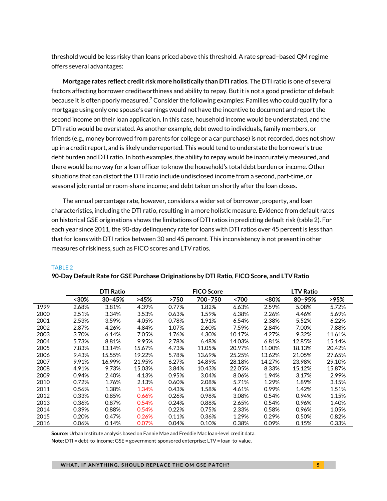threshold would be less risky than loans priced above this threshold. A rate spread–based QM regime offers several advantages:

**Mortgage rates reflect credit risk more holistically than DTI ratios.** The DTI ratio is one of several factors affecting borrower creditworthiness and ability to repay. But it is not a good predictor of default because it is often poorly measured.<sup>7</sup> Consider the following examples: Families who could qualify for a mortgage using only one spouse's earnings would not have the incentive to document and report the second income on their loan application. In this case, household income would be understated, and the DTI ratio would be overstated. As another example, debt owed to individuals, family members, or friends (e.g., money borrowed from parents for college or a car purchase) is not recorded, does not show up in a credit report, and is likely underreported. This would tend to understate the borrower's true debt burden and DTI ratio. In both examples, the ability to repay would be inaccurately measured, and there would be no way for a loan officer to know the household's total debt burden or income. Other situations that can distort the DTI ratio include undisclosed income from a second, part-time, or seasonal job; rental or room-share income; and debt taken on shortly after the loan closes.

The annual percentage rate, however, considers a wider set of borrower, property, and loan characteristics, including the DTI ratio, resulting in a more holistic measure. Evidence from default rates on historical GSE originations shows the limitations of DTI ratios in predicting default risk (table 2). For each year since 2011, the 90-day delinquency rate for loans with DTI ratios over 45 percent is less than that for loans with DTI ratios between 30 and 45 percent. This inconsistency is not present in other measures of riskiness, such as FICO scores and LTV ratios.

|      | <b>DTI Ratio</b> |            |        |       | <b>FICO Score</b> |        |        | <b>LTV Ratio</b> |        |  |
|------|------------------|------------|--------|-------|-------------------|--------|--------|------------------|--------|--|
|      | <30%             | $30 - 45%$ | >45%   | >750  | 700-750           | <700   | <80%   | 80-95%           | >95%   |  |
| 1999 | 2.68%            | 3.81%      | 4.39%  | 0.77% | 1.82%             | 6.63%  | 2.59%  | 5.08%            | 5.72%  |  |
| 2000 | 2.51%            | 3.34%      | 3.53%  | 0.63% | 1.59%             | 6.38%  | 2.26%  | 4.46%            | 5.69%  |  |
| 2001 | 2.53%            | 3.59%      | 4.05%  | 0.78% | 1.91%             | 6.54%  | 2.38%  | 5.52%            | 6.22%  |  |
| 2002 | 2.87%            | 4.26%      | 4.84%  | 1.07% | 2.60%             | 7.59%  | 2.84%  | 7.00%            | 7.88%  |  |
| 2003 | 3.70%            | 6.14%      | 7.05%  | 1.76% | 4.30%             | 10.17% | 4.27%  | 9.32%            | 11.61% |  |
| 2004 | 5.73%            | 8.81%      | 9.95%  | 2.78% | 6.48%             | 14.03% | 6.81%  | 12.85%           | 15.14% |  |
| 2005 | 7.83%            | 13.14%     | 15.67% | 4.73% | 11.05%            | 20.97% | 11.00% | 18.13%           | 20.42% |  |
| 2006 | 9.43%            | 15.55%     | 19.22% | 5.78% | 13.69%            | 25.25% | 13.62% | 21.05%           | 27.65% |  |
| 2007 | 9.91%            | 16.99%     | 21.95% | 6.27% | 14.89%            | 28.18% | 14.27% | 23.98%           | 29.10% |  |
| 2008 | 4.91%            | 9.73%      | 15.03% | 3.84% | 10.43%            | 22.05% | 8.33%  | 15.12%           | 15.87% |  |
| 2009 | 0.94%            | 2.40%      | 4.13%  | 0.95% | 3.04%             | 8.06%  | 1.94%  | 3.17%            | 2.99%  |  |
| 2010 | 0.72%            | 1.76%      | 2.13%  | 0.60% | 2.08%             | 5.71%  | 1.29%  | 1.89%            | 3.15%  |  |
| 2011 | 0.56%            | 1.38%      | 1.34%  | 0.43% | 1.58%             | 4.61%  | 0.99%  | 1.42%            | 1.51%  |  |
| 2012 | 0.33%            | 0.85%      | 0.66%  | 0.26% | 0.98%             | 3.08%  | 0.54%  | 0.94%            | 1.15%  |  |
| 2013 | 0.36%            | 0.87%      | 0.54%  | 0.24% | 0.88%             | 2.65%  | 0.54%  | 0.96%            | 1.40%  |  |
| 2014 | 0.39%            | 0.88%      | 0.54%  | 0.22% | 0.75%             | 2.33%  | 0.58%  | 0.96%            | 1.05%  |  |
| 2015 | 0.20%            | 0.47%      | 0.26%  | 0.11% | 0.36%             | 1.29%  | 0.29%  | 0.50%            | 0.82%  |  |
| 2016 | 0.06%            | 0.14%      | 0.07%  | 0.04% | 0.10%             | 0.38%  | 0.09%  | 0.15%            | 0.33%  |  |

#### **90-Day Default Rate for GSE Purchase Originations by DTI Ratio, FICO Score, and LTV Ratio**

TABLE 2

**Source:** Urban Institute analysis based on Fannie Mae and Freddie Mac loan-level credit data.

**Note:** DTI = debt-to-income; GSE = government-sponsored enterprise; LTV = loan-to-value.

**WHAT, IF ANYTHING, SHOULD REPLACE THE QM GSE PATCH?** And the state of the state of the state of the state of the state of the state of the state of the state of the state of the state of the state of the state of the stat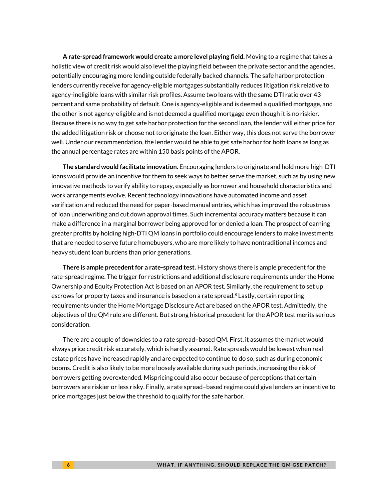**A rate-spread framework would create a more level playing field.** Moving to a regime that takes a holistic view of credit risk would also level the playing field between the private sector and the agencies, potentially encouraging more lending outside federally backed channels. The safe harbor protection lenders currently receive for agency-eligible mortgages substantially reduces litigation risk relative to agency-ineligible loans with similar risk profiles. Assume two loans with the same DTI ratio over 43 percent and same probability of default. One is agency-eligible and is deemed a qualified mortgage, and the other is not agency-eligible and is not deemed a qualified mortgage even though it is no riskier. Because there is no way to get safe harbor protection for the second loan, the lender will either price for the added litigation risk or choose not to originate the loan. Either way, this does not serve the borrower well. Under our recommendation, the lender would be able to get safe harbor for both loans as long as the annual percentage rates are within 150 basis points of the APOR.

**The standard would facilitate innovation.** Encouraging lenders to originate and hold more high-DTI loans would provide an incentive for them to seek ways to better serve the market, such as by using new innovative methods to verify ability to repay, especially as borrower and household characteristics and work arrangements evolve. Recent technology innovations have automated income and asset verification and reduced the need for paper-based manual entries, which has improved the robustness of loan underwriting and cut down approval times. Such incremental accuracy matters because it can make a difference in a marginal borrower being approved for or denied a loan. The prospect of earning greater profits by holding high-DTI QM loans in portfolio could encourage lenders to make investments that are needed to serve future homebuyers, who are more likely to have nontraditional incomes and heavy student loan burdens than prior generations.

**There is ample precedent for a rate-spread test.** History shows there is ample precedent for the rate-spread regime. The trigger for restrictions and additional disclosure requirements under the Home Ownership and Equity Protection Act is based on an APOR test. Similarly, the requirement to set up escrows for property taxes and insurance is based on a rate spread.<sup>8</sup> Lastly, certain reporting requirements under the Home Mortgage Disclosure Act are based on the APOR test. Admittedly, the objectives of the QM rule are different. But strong historical precedent for the APOR test merits serious consideration.

There are a couple of downsides to a rate spread–based QM. First, it assumes the market would always price credit risk accurately, which is hardly assured. Rate spreads would be lowest when real estate prices have increased rapidly and are expected to continue to do so, such as during economic booms. Credit is also likely to be more loosely available during such periods, increasing the risk of borrowers getting overextended. Mispricing could also occur because of perceptions that certain borrowers are riskier or less risky. Finally, a rate spread–based regime could give lenders an incentive to price mortgages just below the threshold to qualify for the safe harbor.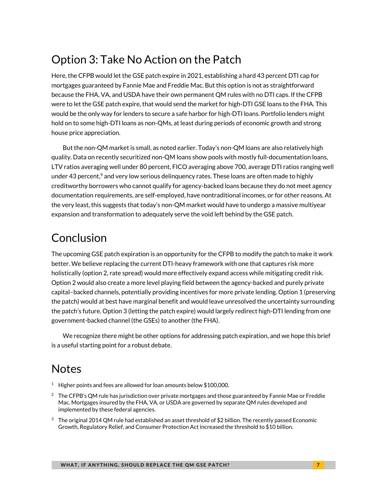# Option 3: Take No Action on the Patch

Here, the CFPB would let the GSE patch expire in 2021, establishing a hard 43 percent DTI cap for mortgages guaranteed by Fannie Mae and Freddie Mac. But this option is not as straightforward because the FHA, VA, and USDA have their own permanent QM rules with no DTI caps. If the CFPB were to let the GSE patch expire, that would send the market for high-DTI GSE loans to the FHA. This would be the only way for lenders to secure a safe harbor for high-DTI loans. Portfolio lenders might hold on to some high-DTI loans as non-QMs, at least during periods of economic growth and strong house price appreciation.

But the non-QM market is small, as noted earlier. Today's non-QM loans are also relatively high quality. Data on recently securitized non-QM loans show pools with mostly full-documentation loans, LTV ratios averaging well under 80 percent, FICO averaging above 700, average DTI ratios ranging well under 43 percent, $\degree$  and very low serious delinquency rates. These loans are often made to highly creditworthy borrowers who cannot qualify for agency-backed loans because they do not meet agency documentation requirements, are self-employed, have nontraditional incomes, or for other reasons. At the very least, this suggests that today's non-QM market would have to undergo a massive multiyear expansion and transformation to adequately serve the void left behind by the GSE patch.

# Conclusion

The upcoming GSE patch expiration is an opportunity for the CFPB to modify the patch to make it work better. We believe replacing the current DTI-heavy framework with one that captures risk more holistically (option 2, rate spread) would more effectively expand access while mitigating credit risk. Option 2 would also create a more level playing field between the agency-backed and purely private capital–backed channels, potentially providing incentives for more private lending. Option 1 (preserving the patch) would at best have marginal benefit and would leave unresolved the uncertainty surrounding the patch's future. Option 3 (letting the patch expire) would largely redirect high-DTI lending from one government-backed channel (the GSEs) to another (the FHA).

We recognize there might be other options for addressing patch expiration, and we hope this brief is a useful starting point for a robust debate.

# Notes

- <sup>1</sup> Higher points and fees are allowed for loan amounts below \$100,000.
- $2$  The CFPB's QM rule has jurisdiction over private mortgages and those guaranteed by Fannie Mae or Freddie Mac. Mortgages insured by the FHA, VA, or USDA are governed by separate QM rules developed and implemented by these federal agencies.
- <sup>3</sup> The original 2014 QM rule had established an asset threshold of \$2 billion. The recently passed Economic Growth, Regulatory Relief, and Consumer Protection Act increased the threshold to \$10 billion.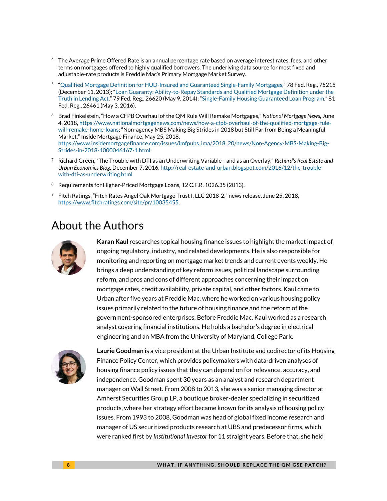- <sup>4</sup> The Average Prime Offered Rate is an annual percentage rate based on average interest rates, fees, and other terms on mortgages offered to highly qualified borrowers. The underlying data source for most fixed and adjustable-rate products is Freddie Mac's Primary Mortgage Market Survey.
- 5 "[Qualified Mortgage Definition for HUD-Insured and Guaranteed Single-Family Mortgages](https://www.gpo.gov/fdsys/pkg/FR-2013-12-11/pdf/2013-29482.pdf)," 78 Fed. Reg., 75215 (December 11, 2013); "[Loan Guaranty: Ability-to-Repay Standards and Qualified Mortgage Definition under the](https://www.gpo.gov/fdsys/pkg/FR-2014-05-09/pdf/2014-10600.pdf)  [Truth in Lending Act](https://www.gpo.gov/fdsys/pkg/FR-2014-05-09/pdf/2014-10600.pdf)," 79 Fed. Reg., 26620 (May 9, 2014); "[Single-Family Housing Guaranteed Loan Program](https://www.gpo.gov/fdsys/pkg/FR-2016-05-03/pdf/2016-10217.pdf)," 81 Fed. Reg., 26461 (May 3, 2016).
- <sup>6</sup> Brad Finkelstein, "How a CFPB Overhaul of the QM Rule Will Remake Mortgages," *National Mortgage News,* June 4, 2018[, https://www.nationalmortgagenews.com/news/how-a-cfpb-overhaul-of-the-qualified-mortgage-rule](https://www.nationalmortgagenews.com/news/how-a-cfpb-overhaul-of-the-qualified-mortgage-rule-will-remake-home-loans)[will-remake-home-loans;](https://www.nationalmortgagenews.com/news/how-a-cfpb-overhaul-of-the-qualified-mortgage-rule-will-remake-home-loans) "Non-agency MBS Making Big Strides in 2018 but Still Far from Being a Meaningful Market," Inside Mortgage Finance, May 25, 2018, [https://www.insidemortgagefinance.com/issues/imfpubs\\_ima/2018\\_20/news/Non-Agency-MBS-Making-Big-](https://www.insidemortgagefinance.com/issues/imfpubs_ima/2018_20/news/Non-Agency-MBS-Making-Big-Strides-in-2018-1000046167-1.html)[Strides-in-2018-1000046167-1.html.](https://www.insidemortgagefinance.com/issues/imfpubs_ima/2018_20/news/Non-Agency-MBS-Making-Big-Strides-in-2018-1000046167-1.html)
- 7 Richard Green, "The Trouble with DTI as an Underwriting Variable—and as an Overlay," *Richard's Real Estate and Urban Economics Blog,* December 7, 2016[, http://real-estate-and-urban.blogspot.com/2016/12/the-trouble](http://real-estate-and-urban.blogspot.com/2016/12/the-trouble-with-dti-as-underwriting.html)[with-dti-as-underwriting.html.](http://real-estate-and-urban.blogspot.com/2016/12/the-trouble-with-dti-as-underwriting.html)
- <sup>8</sup> Requirements for Higher-Priced Mortgage Loans, 12 C.F.R. 1026.35 (2013).
- <sup>9</sup> Fitch Ratings, "Fitch Rates Angel Oak Mortgage Trust I, LLC 2018-2," news release, June 25, 2018, [https://www.fitchratings.com/site/pr/10035455.](https://www.fitchratings.com/site/pr/10035455)

### About the Authors



**Karan Kaul** researches topical housing finance issues to highlight the market impact of ongoing regulatory, industry, and related developments. He is also responsible for monitoring and reporting on mortgage market trends and current events weekly. He brings a deep understanding of key reform issues, political landscape surrounding reform, and pros and cons of different approaches concerning their impact on mortgage rates, credit availability, private capital, and other factors. Kaul came to Urban after five years at Freddie Mac, where he worked on various housing policy issues primarily related to the future of housing finance and the reform of the government-sponsored enterprises. Before Freddie Mac, Kaul worked as a research analyst covering financial institutions. He holds a bachelor's degree in electrical engineering and an MBA from the University of Maryland, College Park.



**Laurie Goodman** is a vice president at the Urban Institute and codirector of its Housing Finance Policy Center, which provides policymakers with data-driven analyses of housing finance policy issues that they can depend on for relevance, accuracy, and independence. Goodman spent 30 years as an analyst and research department manager on Wall Street. From 2008 to 2013, she was a senior managing director at Amherst Securities Group LP, a boutique broker-dealer specializing in securitized products, where her strategy effort became known for its analysis of housing policy issues. From 1993 to 2008, Goodman was head of global fixed income research and manager of US securitized products research at UBS and predecessor firms, which were ranked first by *Institutional Investor* for 11 straight years. Before that, she held